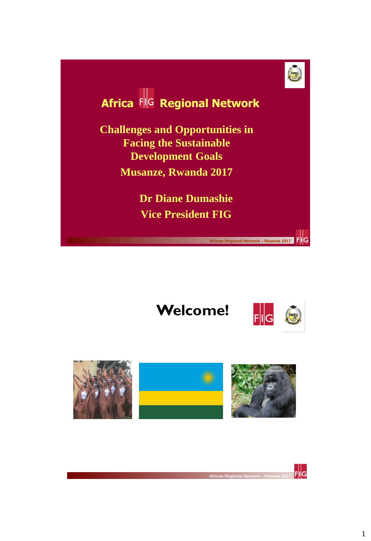

# **Africa FIG Regional Network**

**Challenges and Opportunities in Facing the Sustainable Development Goals Musanze, Rwanda 2017**

> **Dr Diane Dumashie Vice President FIG**

# **Welcome!**



FIG

 **African Regional Network – Rwanda 2017** 



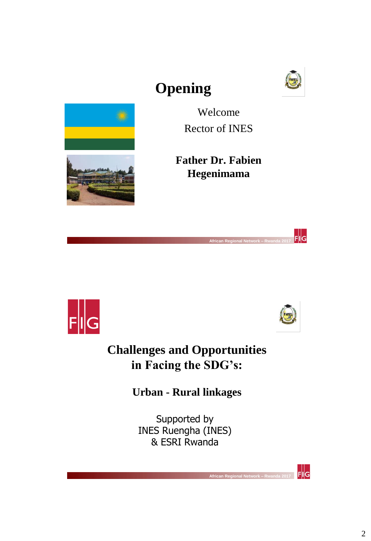

# **Opening**



Welcome Rector of INES

**Father Dr. Fabien Hegenimama**





 $\frac{1}{\| \mathbf{F} \| \mathbf{G}}$ 

 $\frac{1}{2}$  FIIG

### **Challenges and Opportunities in Facing the SDG's:**

 **African Regional Network – Rwanda 2017** 

**Urban - Rural linkages**

Supported by INES Ruengha (INES) & ESRI Rwanda

 **African Regional Network – Rwanda 2017**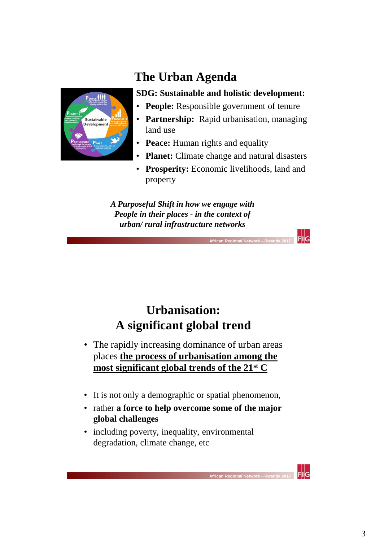

### **The Urban Agenda**

#### **SDG: Sustainable and holistic development:**

- **People:** Responsible government of tenure
- **Partnership:** Rapid urbanisation, managing land use
- **Peace:** Human rights and equality
- **Planet:** Climate change and natural disasters
- **Prosperity:** Economic livelihoods, land and property

 $\frac{1}{2}$  FIIG

Flig

*A Purposeful Shift in how we engage with People in their places - in the context of urban/ rural infrastructure networks*

 **African Regional Network – Rwanda 2017** 

### **Urbanisation: A significant global trend**

- The rapidly increasing dominance of urban areas places **the process of urbanisation among the most significant global trends of the 21st C**
- It is not only a demographic or spatial phenomenon,
- rather **a force to help overcome some of the major global challenges**

 **African Regional Network – Rwanda 2017** 

• including poverty, inequality, environmental degradation, climate change, etc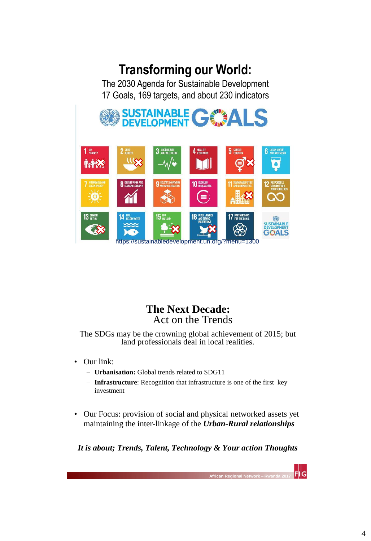## **Transforming our World:**

The 2030 Agenda for Sustainable Development 17 Goals, 169 targets, and about 230 indicators



### **The Next Decade:**  Act on the Trends

The SDGs may be the crowning global achievement of 2015; but land professionals deal in local realities.

- Our link:
	- **Urbanisation:** Global trends related to SDG11
	- **Infrastructure**: Recognition that infrastructure is one of the first key investment
- Our Focus: provision of social and physical networked assets yet maintaining the inter-linkage of the *Urban-Rural relationships*

*It is about; Trends, Talent, Technology & Your action Thoughts*

*African Regional* 

FIIG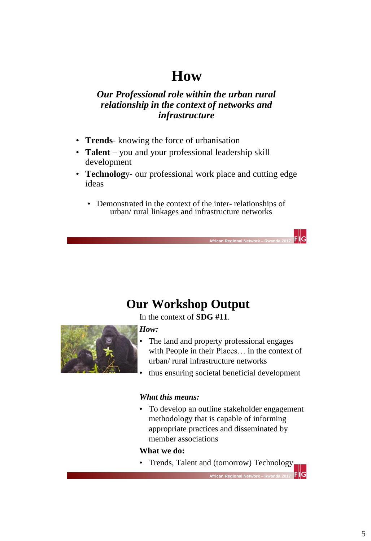## **How**

#### *Our Professional role within the urban rural relationship in the context of networks and infrastructure*

- **Trends** knowing the force of urbanisation
- **Talent** you and your professional leadership skill development
- **Technolog**y- our professional work place and cutting edge ideas
	- Demonstrated in the context of the inter- relationships of urban/ rural linkages and infrastructure networks

 **African Regional Network – Rwanda 2017** 

### **Our Workshop Output**

In the context of **SDG #11**.



#### *How:*

- The land and property professional engages with People in their Places… in the context of urban/ rural infrastructure networks
- thus ensuring societal beneficial development

#### *What this means:*

• To develop an outline stakeholder engagement methodology that is capable of informing appropriate practices and disseminated by member associations

#### **What we do:**

• Trends, Talent and (tomorrow) Technology

 **African Regional Network – Rwanda 2017** 

llG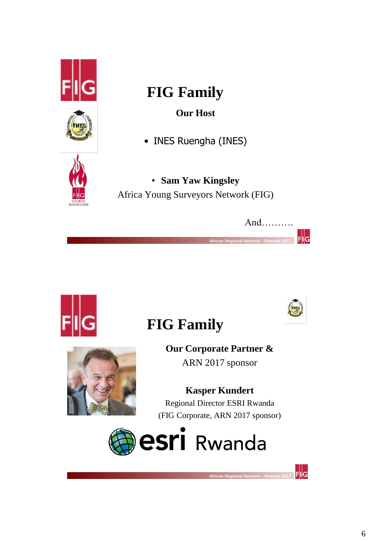



# **FIG Family**

**Our Host** 

• INES Ruengha (INES)



• **Sam Yaw Kingsley**  Africa Young Surveyors Network (FIG)



INES

 $F\|G$ 



# **FIG Family**

**Our Corporate Partner &**  ARN 2017 sponsor

# **Kasper Kundert**

Regional Director ESRI Rwanda (FIG Corporate, ARN 2017 sponsor)



 **African Regional Network – Rwanda 2017**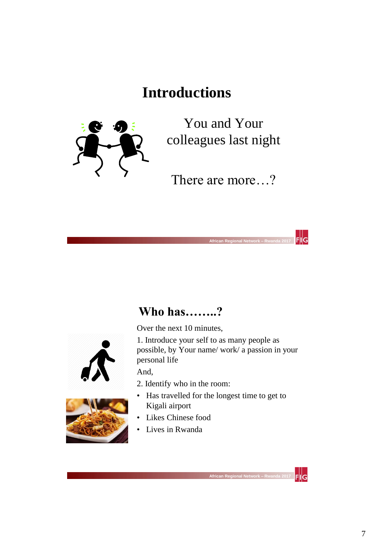# **Introductions**



You and Your colleagues last night

There are more…?

 $F||G$ 

 $\mathsf{Fl}$ lG

### **Who has……..?**

 **African Regional Network – Rwanda 2017** 

Over the next 10 minutes,





1. Introduce your self to as many people as possible, by Your name/ work/ a passion in your personal life

And,

- 2. Identify who in the room:
- Has travelled for the longest time to get to Kigali airport
- Likes Chinese food
- Lives in Rwanda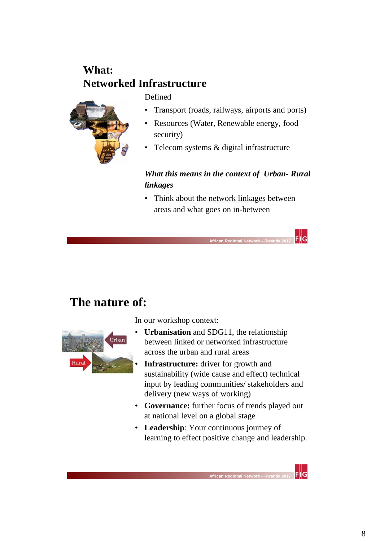### **What: Networked Infrastructure**

Defined



- Transport (roads, railways, airports and ports)
- Resources (Water, Renewable energy, food security)
- Telecom systems & digital infrastructure

#### *What this means in the context of Urban- Rural linkages*

• Think about the network linkages between areas and what goes on in-between

### **The nature of:**



In our workshop context:

 **African Regional Network – Rwanda 2017** 

- **Urbanisation** and SDG11, the relationship between linked or networked infrastructure across the urban and rural areas
	- **Infrastructure:** driver for growth and sustainability (wide cause and effect) technical input by leading communities/ stakeholders and delivery (new ways of working)
- **Governance:** further focus of trends played out at national level on a global stage
- **Leadership**: Your continuous journey of learning to effect positive change and leadership.

*<u>African Regional</u>* 

 $F||G$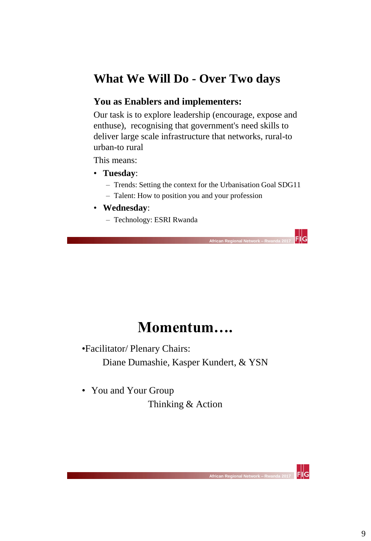### **What We Will Do - Over Two days**

#### **You as Enablers and implementers:**

Our task is to explore leadership (encourage, expose and enthuse), recognising that government's need skills to deliver large scale infrastructure that networks, rural-to urban-to rural

This means:

- **Tuesday**:
	- Trends: Setting the context for the Urbanisation Goal SDG11
	- Talent: How to position you and your profession

 **African Regional Network – Rwanda 2017** 

- **Wednesday**:
	- Technology: ESRI Rwanda

### **Momentum….**

•Facilitator/ Plenary Chairs:

Diane Dumashie, Kasper Kundert, & YSN

• You and Your Group

Thinking & Action

 **African Regional Network – Rwanda 2017** 

 $\frac{1}{2}$  FIIG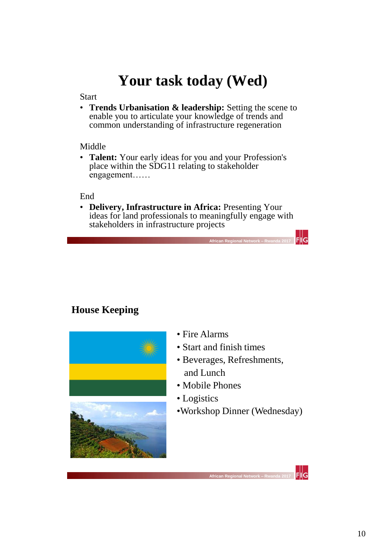# **Your task today (Wed)**

#### **Start**

• **Trends Urbanisation & leadership:** Setting the scene to enable you to articulate your knowledge of trends and common understanding of infrastructure regeneration

#### Middle

• **Talent:** Your early ideas for you and your Profession's place within the SDG11 relating to stakeholder engagement……

#### End

• **Delivery, Infrastructure in Africa:** Presenting Your ideas for land professionals to meaningfully engage with stakeholders in infrastructure projects

 **African Regional Network – Rwanda 2017** 

### **House Keeping**



- Fire Alarms
- Start and finish times
- Beverages, Refreshments, and Lunch
- Mobile Phones
- Logistics

 **African Regional Network – Rwanda 2017** 

•Workshop Dinner (Wednesday)

 $F||G$